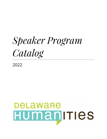# *Speaker Program Catalog*

2022

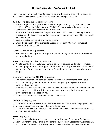## Hosting a Speaker Program Checklist

Thank you for your interest in our Speakers program! Be sure to check off the points on the list below to successfully host a Delaware Humanities Speaker event.

#### **BEFORE** completing the online request form:

- $\Box$  Select a program. Have you already had this program this cycle (November 1, 2021-April 30, 2022 or May 1, 2022-October 31, 2022)? If so, select an alternate program.
- $\Box$  Contact the Speaker and arrange a date and time. REMEMBER: If the Speaker is to be part of an event with a meal or meeting, the start time is when the Speaker begins. Speakers are not required or expected to sit through a meal or meeting.
- $\Box$  Ask the Speaker about their audio/visual needs.
- $\Box$  Check the calendar—if the event is to happen in less than 30 days, you must call Delaware Humanities first.

#### **COMPLETE** the online request form.

 $\Box$  Visit dehumanities.org and click "Log-in" in the bottom right-hand corner to access the online application.

**AFTER** completing the online request form:

 $\Box$  Wait to hear back from Delaware Humanities before advertising. Funding is limited, and your program may not be approved. You will know of approval within 7-10 days of submission. If your program is more than 3 months in the future, approval may take longer.

#### After being approved and **BEFORE** the program:

- $\Box$  Log into the application system and complete the Grant Agreement within 7 days.
- $\Box$  Mail your check payment to Delaware Humanities (your grant agreement is also considered your invoice).
- $\Box$  Print out the audience evaluations (they can be found in #8 of the grant agreement and on Delaware Humanities' website) or be sure you have ready the link for audience evaluations to be completed online.
- $\Box$  Contact the Speaker at least one more time to check in.

#### The **DAY OF** the program:

- $\Box$  Distribute the audience evaluations/audience evaluation link before the program starts.
- $\Box$  Introduce the speaker and thank Delaware Humanities.
- $\Box$  Collect the completed audience evaluations/remind audience members to visit the link and submit their evaluation.

#### **AFTER** the program:

- $\Box$  Log into the application system and complete the Program Coordinator Evaluation.
- □ Scan and attach your audience evaluations to your Program Coordinator Evaluation OR mail them to Delaware Humanities (if paper audience evaluations were distributed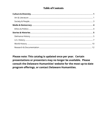## **Table of Contents**

Please note: This catalog is updated once per year. Certain presentations or presenters may no longer be available. Please consult the Delaware Humanities' website for the most up-to-date program offerings, or contact Delaware Humanities.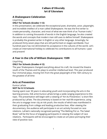## Culture & Diversity Art & Literature

## **A Shakespeare Celebration**

Lloyd King

#### **ONLY for Schools (Grades 1-12)**

In this presentation, we celebrate the exceptional poet, dramatist, actor, playwright, and incredible intellect of a man called Shakespeare. He was the first writer to create personality, character, and most of what we now think of as "human traits." In addition to coining thousands of words in the English language, he also created the words and concepts that modern man still uses to define himself. Shakespeare is probably the greatest writer in English or any other language. Amazingly, he produced thirty-seven plays that are still performed on stages worldwide. Four hundred years has not diminished his acceptance in the cultures of the world. Let's create an international holiday to celebrate his contributions to all humans—past and present!

## **A Year in the Life of William Shakespeare: 1599**

Lloyd King

#### **ONLY for Schools (Grades 4-12)**

The year Shakespeare changed everything about his craft. He moved the theatre south of the Thames and his plays to another intellectual level. This year produced four immortal plays, moving him from the great playwright of the 16th century to the greatest of all time

#### **Arts at Prevention**

Eunice LaFate

#### **NOT for K-12 Schools**

Having spent over 30 years in educating youth and incorporating the arts in the learning process, folk artist Eunice LaFate brings a wide-ranging experience to this topic. The presentation will begin with a viewing of "Art As Prevention," a short film produced by LaFate. The documentary is based on her real-life experience, using the arts to engage inner city at-risk youth, the results of which was manifested in their graduating from college and leading productive lives. After viewing the documentary, the audience will participate in an art activity focused on race relations. LaFate's nationally recognized painting "The Melting Pot vs. The Salad Bowl," will be the focus of engaging participants in viewing the subject of race relations. Participants will be encouraged to create an art piece portraying their view of positive race.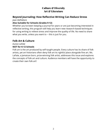## Culture & Diversity Art & Literature

## **Beyond Journaling: How Reflective Writing Can Reduce Stress**

#### *Joan DelFattore*

#### **Also Suitable for Schools (Grades 9-12)**

Whether you've been keeping a journal for years or are just becoming interested in reflective writing, this program will help you learn new research-based techniques for using writing to relieve stress and improve the quality of life. No need to share what you write, unless you want to -- this is just for you.

## **Folk Art & Culture**

## *Eunice LaFate*

#### **NOT for K-12 Schools**

Folk art is the art produced by self-taught people. Every culture has its share of folk artists, yet art historians often deny folk art its rightful place alongside fine art. Ms. LaFate, a Jamaican born, prize-winning folk artist, addresses this issue and explores the concepts of folk art and culture. Audience members will have the opportunity to create their own folk art!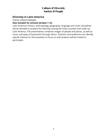## Culture & Diversity Society & People

#### **Diversity in Latin America**

*Charito Calvachi-Mateyko*

#### **Also Suitable for Schools (Grades 1-12)**

Latin American history, anthropology, geography, language and music disciplines will be blended to present the diversity among the many counties that make up Latin America. The presentation combines images of people and places, as well as music and ways of expression through dance. Teachers and audiences can identify specific themes for the presenter to focus on and students will be invited to participate.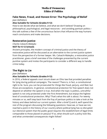## Media & Democracy Ethics & Politics

#### **Fake News, Fraud, and Honest Error: The Psychology of Belief** *Joan DelFattore*

#### **Also Suitable for Schools (Grades 9-12)**

How to we decide what we believe, and what we don't believe? Drawing on philosophical, psychological, and legal resources – and avoiding partisan politics – this talk outlines a few of the unconscious factors that influence the way humans reach conclusions and make decisions.

## **Restorative Justice**

*Charito Calvachi-Mateyko*

#### **NOT for K-12 Schools**

Ancient principles, the modern concept of criminal justice and the theory of restorative justice will be discussed as an alternative to the current justice system from the perspective of a former lawyer. Ms. Calvachi-Mateyko, a restorative justice practitioner, gives a brief overview of the challenges presented by the current punitive system and invites the participants to consider a different way to handle crime today.

## **The Right to Lie**

#### *Joan DelFattore*

#### **Also Suitable for Schools (Grades 9-12)**

In 2016, a federal appeals court struck down an Ohio law that provided penalties for lying during political campaigns. The reason? There is, in fact, a constitutional right to lie. Sure, you can be prosecuted for things like fraud, perjury, and libel, but those are exceptions. In general, constitutional protection for free speech does not depend on whether the speech is true. And when the topic is politics, untruthful speech is not only protected under the First Amendment, but enjoys the highest level of constitutional protection. Why? That's what this talk is about. For twenty minutes or so, we'll step back from the fray of partisan politics to take a look at the history and ideas behind our current system. After a brief Q and A, we'll spend the rest of the program discussing the following questions: Have we, or have we not, reached a point in the history of our country where political lying has so disrupted our electoral system that the public good requires the establishment of legal limits comparable to those placed on perjury? If so, what should such a policy look like, and what unintended consequences might follow?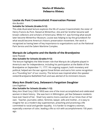## Stories & Histories Delmarva History

## **Louise du Pont Crowninshield: Preservation Pioneer**

*Kim Burdick*

#### **Suitable for Schools (Grades 9-12)**

This slide-illustrated lecture explores the life of Louise Crowninshield, the sister of Henry Francis du Pont. Raised at Winterthur, she and her brother became well known collectors and scholars of Americana. While H.F. was forming what would later become Winterthur Museum, Louise was helping to lay the groundwork for what would become America's historic preservation movement. Her work is recognized as having been of key importance to organizations such as the National Park Service and the Salem Maritime Complex.

## **Marquis de Lafayette and the Battle of the Brandywine**

#### *Gene Pisasale*

#### **Also Suitable for Schools (Grades 9-12)**

The lecture highlights the little-known role that Marquis de Lafayette played in America's war for independence, including his participation at the Battle of the Brandywine on September 11, 1777. His ongoing support, both monetary and political, helped win the war against Great Britain and earns him some recognition as a "Founding Son" of our country. The lecture was inspired when the speaker visited Brandywine Battlefield Park and was alerted of its imminent closure.

## **Mary Ann Shadd Cary, Delaware's Forgotten Daughter**

#### *Lora Englehart*

#### **Also Suitable for Schools (Grades 1-12)**

Mary Ann Shad Cary (1823-1893) was one of the most accomplished and celebrated women in black history. She was born in Wilmington, yet few Delaware residents have ever heard of her. Shad Cary seems more a woman of our times than of her own. Teacher, journalist, editor, feminist, lawyer, wife and mother…it is easy to imagine her as a modern-day superwoman, preaching and practicing a life committed to racial and gender equality. It is harder to imagine a woman, especially a woman of color, leading a life so rich with accomplishments 150 years ago.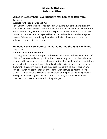## Stories & Histories Delmarva History

#### **Seized in September: Revolutionary War Comes to Delaware** *Kim Burdick*

#### **Suitable for Schools (Grades 9-12)**

Have you ever wondered what happened in Delaware during the Revolutionary War? How did the British get from the Head of the Elk River to Chadds Ford for the Battle of the Brandywine? Kim Burdick is a specialist in Delaware History and folk culture, and audiences of all ages will be amazed to hear letters and writings by colonial Delawareans describing the arrival of the British army and the social upheaval it brought to our colony.

## **We Have Been Here Before: Delmarva During the 1918 Pandemic**

*Mike Dixon*

#### **Suitable for Schools (Grades 9-12)**

This program examines the impact of the so-called Spanish Influenza Pandemic of 1918 on Delmarva and nearby points. The virus took a grim toll on the Delmarva region, and it overwhelmed the health care system, forcing the region to shut down for an extended period. Although they didn't call it social distancing at the top of the twentieth century, the methods they used to quarantine the contagion are similar to what we practice today. Thus, as the world struggles with the novel COVID-19 contagion, we will take a relevant look at the past to see how people in the region 102-years ago managed a similar situation, at a time when medical science did not have a treatment for the pathogen.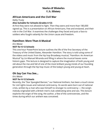## Stories & Histories U.S. History

## **African Americans and the Civil War**

*Kathy Trusty*

#### **Also Suitable for Schools (Grades 4-12)**

At first they were not allowed to fight. Then they were and more than 180,000 signed up. This is a presentation on African Americans, free and enslaved, and their role in the Civil War. It examines the challenges they faced and puts a face to soldiers who fought valiantly for the Union cause and freedom.

## **Hamilton: More Than A Musical**

*Eric Mease*

#### **NOT for K-12 Schools**

This one-hour PowerPoint lecture outlines the life of the first Secretary of the Treasury of the United States, Alexander Hamilton. The story is told using some of the videos and music from the hip hop Broadway musical, "Hamilton: An American Musical" by Lin-Manuel Miranda and filling in where the musical leaves some historic gaps. This lecture is designed to capture the imagination of both young and old about the rise and fall of one of the most brilliant young minds of our founding generation through the hip hop music of the today's young and young at heart.

## **Oh Say Can You See…**

*Eric Mease*

#### **NOT for K-12 Schools**

Recently, the "Star Spangled Banner," our National Anthem, has been a touch stone for civil rights issues and national controversy. Its words were born out of national crisis, written by a man who was himself no stranger to controversy — the song's melody originated with a British men's club celebrating wine and sex. This lecture explores the origin of the song, the author, a few of the controversies, and the times during which our anthem was conceived.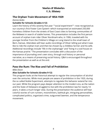## Stories & Histories U.S. History

#### **The Orphan Train Movement of 1854-1929**

*Donna Aviles*

#### **Suitable for Schools (Grades 4-12)**

Learn the history of this seventy-five year ""social experiment""--now recognized as our country's first Foster Care System--which transported an estimated 250,000 homeless children from the streets of East Coast cities to farming communities of the Midwest in search of stable homes. This presentation includes the first person account of orphan train rider Oliver Nordmark who, in 1906, traveled with his younger brother from the Children's Village on Long Island to the small town of Bern, Kansas. Attendees will hear audio recordings of Oliver telling just what it was like to ride the orphan train and then be chosen by a childless farmer and his wife. Additional recordings include "life in the orphanage" and "living in a sod house on the Kansas prairie." The presentation concludes with a discussion of the importance of journaling one's own story, through oral history or personal narrative, as a means of preserving social history. Q&A is encouraged throughout the presentation as well as at the end.

## **Pass the Rum: The Rise and Fall of Prohibition**

#### *Mike Dixon*

#### **Also Suitable for Schools (Grades 9-12)**

This program looks at the historical attempt to regular the consumption of alcohol over the centuries. While most people are aware of prohibition in the 1920, during the so called Noble Experiment, attempts to regulate this behavior extend far into our past. While the program pays deeper attention to the modern era, as the nation and the State of Delaware struggled to live with the prohibition law for nearly 14 years, it takes a much longer view. During the presentation the audience will hear colorful stories of rum runners, moonshiners, bathtub gin, intriguing personalities, complicated politics, organized crime, outgunned lawmen, and the temperance movement.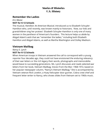## Stories & Histories U.S. History

#### **Remember the Ladies**

*Eric Mease*

#### **NOT for K-12 Schools**

The musical, *Hamilton: An American Musical*, introduced us to Elizabeth Schuyler-Hamilton who, until recently, was known mainly to historians. Now, our kids and grandchildren sing her praises! Elizabeth Schuyler-Hamilton is only one of many women in the pantheon of American's founders. This lecture helps us abide by Abigail Adam's wish that we "remember the ladies," including both Elizabeth Hamilton and Abigail Adams, as well as Martha Washington and Dolley Madison.

## **Vietnam Mailbag**

*Nancy E. Lynch* **NOT for K-12 Schools**

When American troops in Vietnam answered the call to correspond with a young reporter four decades ago, they could not have envisioned the enduring relevancy of their war letters or the rich legacy their words, photographs and memorabilia would leave to succeeding generations. Ms. Lynch discusses and reads selected war letters from her book, Vietnam Mailbag, Voices From the War: 1968-1972, based on her popular newspaper column, "Nancy's Vietnam Mailbag." She is accompanied by Vietnam veteran Rick Lovekin, a Huey helicopter door gunner, Cobra crew chief and frequent letter writer to Nancy, who shows slides from Vietnam set to 1960s music.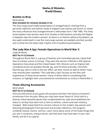## Stories & Histories World History

#### **Bustles to Bras**

#### *Karen Jessee*

#### **Also Suitable for Schools (Grades 4-12)**

This hour-long visual media presentation of vintage/historic clothing from a personal collection and fashion study in England uses history and humor to reveal the many influences that changed women's silhouettes from 1780-1980. This lively show explains how women went from bustles to bell bottoms and why the flapper in between was the modern women. As there is no fashion without foundation, we also peek underneath to see the many ways women are padded, pinched, poufed and cinched into the latest style. Expect a bit of audience participation.

## **The Lady Was A Spy: Female Operatives in World War II**

*Linda De Roche*

#### **NOT for K-12 Schools**

Throughout World War II, a group of fearless and committed patriots risked their lives to achieve victory in Europe. They were the women of Britain's SOE (Special Operations Executive) and the United States' OSS. Women such as Virginia Hall, considered America's greatest female spy, and Christine Granville, Churchill's favorite spy, were crucial to the war effort, yet their stories as well as others' have only recently been revealed. "The Lady Was a Spy" focuses on the lives and experiences of these brave women, many of whom died in completing their missions, to highlight their unconventional contributions to victory in World War II.

## **Those Alluring Accessories**

*Karen Jessee*

#### **NOT for K-12 Schools**

Give yourself points as you guess the purpose and learn the history of women's accessories from the past. Many you may have never heard of. Once vital to a woman, these beautiful pieces that complimented her style and established her status in society have been lost to time as fashion, culture and even industry changed. Well researched from ancient cultures to the modern day woman and featuring photographs from personal and private collections, this program combines history, humor, and fun. Learn more about some of the lovely things that you see in museums, antique stores, and that even may have been in your own family, and do it as a game.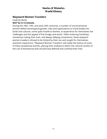## Stories & Histories World History

#### **Wayward Women Travelers**

*Linda De Roche*

#### **NOT for K-12 Schools**

During the 18th, 19th, and early 20th centuries, a number of unconventional women defied stereotypical gender roles and expectations to travel boldly into lands and cultures, some quite hostile to women, to experience for themselves the challenges and the appeal of the foreign and exotic. Often enduring hardships, sometimes risking their lives, and always defying conventions, these wayward women travelers refused to be limited by their sex and sought for themselves authentic experience. "Wayward Women Travelers" will relate the history of some of these exceptional women, placing their endeavors within the cultural context of the cult of domesticity that should have defined and confined their lives.